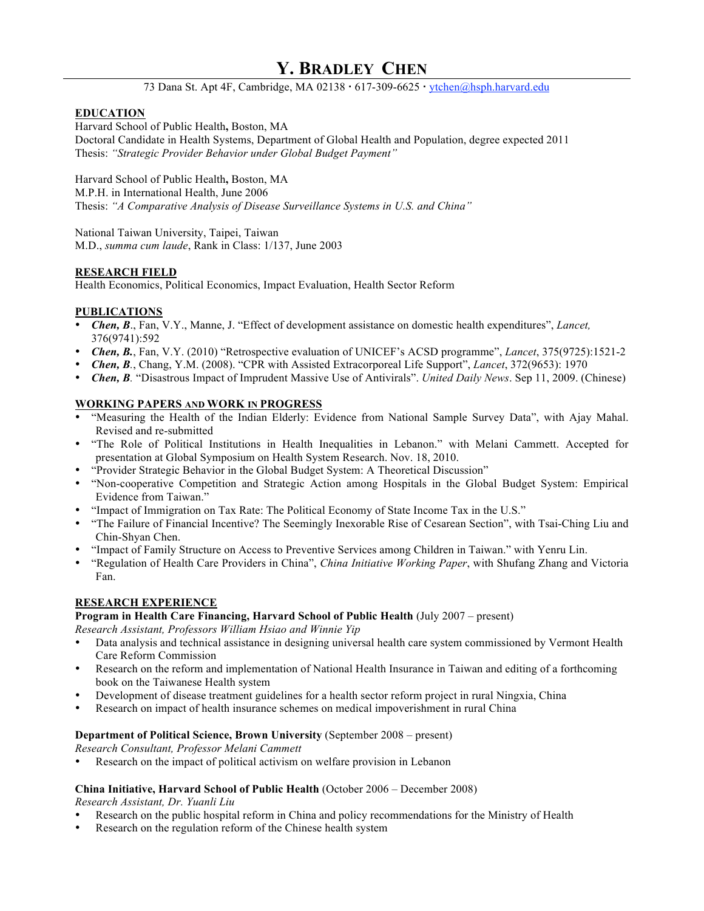# **Y. BRADLEY CHEN**

73 Dana St. Apt 4F, Cambridge, MA 02138 · 617-309-6625 · ytchen@hsph.harvard.edu

## **EDUCATION**

Harvard School of Public Health**,** Boston, MA

Doctoral Candidate in Health Systems, Department of Global Health and Population, degree expected 2011 Thesis: *"Strategic Provider Behavior under Global Budget Payment"*

Harvard School of Public Health**,** Boston, MA

M.P.H. in International Health, June 2006

Thesis: *"A Comparative Analysis of Disease Surveillance Systems in U.S. and China"*

National Taiwan University, Taipei, Taiwan M.D., *summa cum laude*, Rank in Class: 1/137, June 2003

# **RESEARCH FIELD**

Health Economics, Political Economics, Impact Evaluation, Health Sector Reform

## **PUBLICATIONS**

- *Chen, B*., Fan, V.Y., Manne, J. "Effect of development assistance on domestic health expenditures", *Lancet,* 376(9741):592
- *Chen, B.*, Fan, V.Y. (2010) "Retrospective evaluation of UNICEF's ACSD programme", *Lancet*, 375(9725):1521-2
- *Chen, B.*, Chang, Y.M. (2008). "CPR with Assisted Extracorporeal Life Support", *Lancet*, 372(9653): 1970
- *Chen, B.* "Disastrous Impact of Imprudent Massive Use of Antivirals". *United Daily News*. Sep 11, 2009. (Chinese)

## **WORKING PAPERS AND WORK IN PROGRESS**

- "Measuring the Health of the Indian Elderly: Evidence from National Sample Survey Data", with Ajay Mahal. Revised and re-submitted
- "The Role of Political Institutions in Health Inequalities in Lebanon." with Melani Cammett. Accepted for presentation at Global Symposium on Health System Research. Nov. 18, 2010.
- "Provider Strategic Behavior in the Global Budget System: A Theoretical Discussion"
- "Non-cooperative Competition and Strategic Action among Hospitals in the Global Budget System: Empirical Evidence from Taiwan."
- "Impact of Immigration on Tax Rate: The Political Economy of State Income Tax in the U.S."
- "The Failure of Financial Incentive? The Seemingly Inexorable Rise of Cesarean Section", with Tsai-Ching Liu and Chin-Shyan Chen.
- "Impact of Family Structure on Access to Preventive Services among Children in Taiwan." with Yenru Lin.
- "Regulation of Health Care Providers in China", *China Initiative Working Paper*, with Shufang Zhang and Victoria Fan.

# **RESEARCH EXPERIENCE**

#### **Program in Health Care Financing, Harvard School of Public Health** (July 2007 – present)

*Research Assistant, Professors William Hsiao and Winnie Yip*

- Data analysis and technical assistance in designing universal health care system commissioned by Vermont Health Care Reform Commission
- Research on the reform and implementation of National Health Insurance in Taiwan and editing of a forthcoming book on the Taiwanese Health system
- Development of disease treatment guidelines for a health sector reform project in rural Ningxia, China
- Research on impact of health insurance schemes on medical impoverishment in rural China

#### **Department of Political Science, Brown University** (September 2008 – present)

*Research Consultant, Professor Melani Cammett*

• Research on the impact of political activism on welfare provision in Lebanon

#### **China Initiative, Harvard School of Public Health** (October 2006 – December 2008)

*Research Assistant, Dr. Yuanli Liu*

- Research on the public hospital reform in China and policy recommendations for the Ministry of Health
- Research on the regulation reform of the Chinese health system